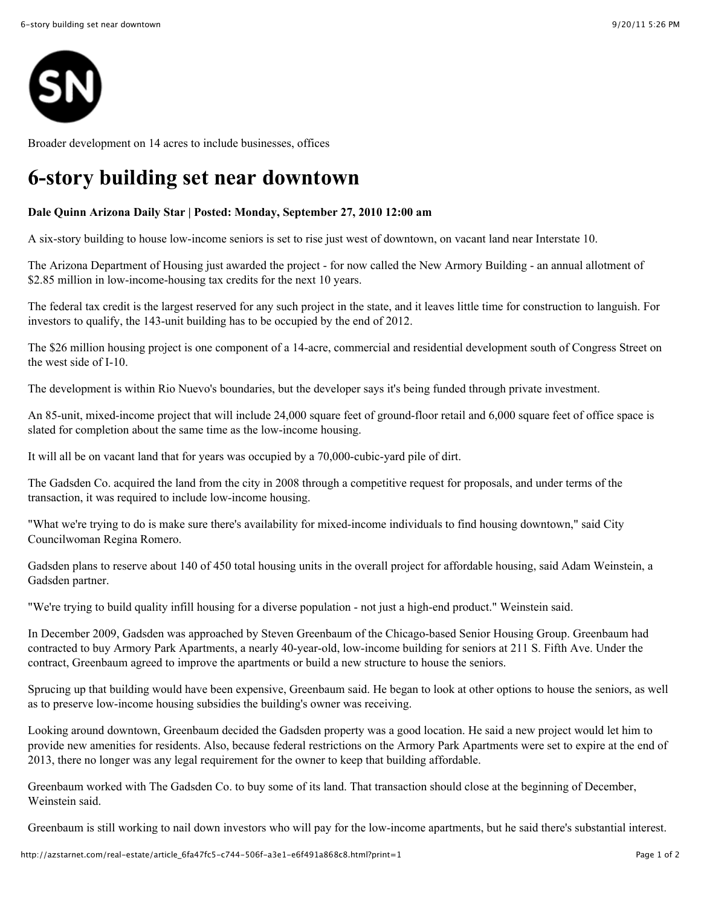

Broader development on 14 acres to include businesses, offices

## **6-story building set near downtown**

## **Dale Quinn Arizona Daily Star | Posted: Monday, September 27, 2010 12:00 am**

A six-story building to house low-income seniors is set to rise just west of downtown, on vacant land near Interstate 10.

The Arizona Department of Housing just awarded the project - for now called the New Armory Building - an annual allotment of \$2.85 million in low-income-housing tax credits for the next 10 years.

The federal tax credit is the largest reserved for any such project in the state, and it leaves little time for construction to languish. For investors to qualify, the 143-unit building has to be occupied by the end of 2012.

The \$26 million housing project is one component of a 14-acre, commercial and residential development south of Congress Street on the west side of I-10.

The development is within Rio Nuevo's boundaries, but the developer says it's being funded through private investment.

An 85-unit, mixed-income project that will include 24,000 square feet of ground-floor retail and 6,000 square feet of office space is slated for completion about the same time as the low-income housing.

It will all be on vacant land that for years was occupied by a 70,000-cubic-yard pile of dirt.

The Gadsden Co. acquired the land from the city in 2008 through a competitive request for proposals, and under terms of the transaction, it was required to include low-income housing.

"What we're trying to do is make sure there's availability for mixed-income individuals to find housing downtown," said City Councilwoman Regina Romero.

Gadsden plans to reserve about 140 of 450 total housing units in the overall project for affordable housing, said Adam Weinstein, a Gadsden partner.

"We're trying to build quality infill housing for a diverse population - not just a high-end product." Weinstein said.

In December 2009, Gadsden was approached by Steven Greenbaum of the Chicago-based Senior Housing Group. Greenbaum had contracted to buy Armory Park Apartments, a nearly 40-year-old, low-income building for seniors at 211 S. Fifth Ave. Under the contract, Greenbaum agreed to improve the apartments or build a new structure to house the seniors.

Sprucing up that building would have been expensive, Greenbaum said. He began to look at other options to house the seniors, as well as to preserve low-income housing subsidies the building's owner was receiving.

Looking around downtown, Greenbaum decided the Gadsden property was a good location. He said a new project would let him to provide new amenities for residents. Also, because federal restrictions on the Armory Park Apartments were set to expire at the end of 2013, there no longer was any legal requirement for the owner to keep that building affordable.

Greenbaum worked with The Gadsden Co. to buy some of its land. That transaction should close at the beginning of December, Weinstein said.

Greenbaum is still working to nail down investors who will pay for the low-income apartments, but he said there's substantial interest.